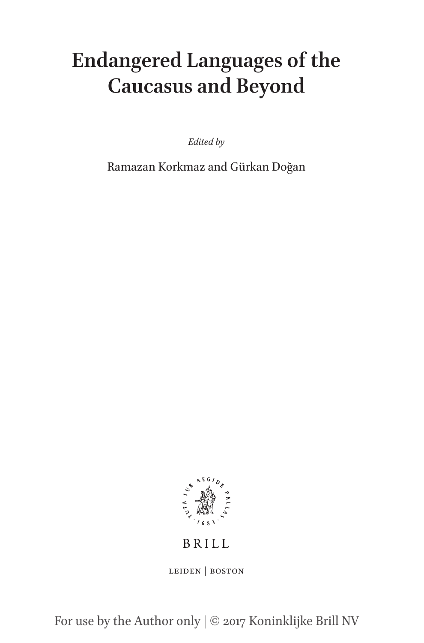# **Endangered Languages of the Caucasus and Beyond**

 *Edited by* 

Ramazan Korkmaz and Gürkan Doğan



# BRILL

LEIDEN | BOSTON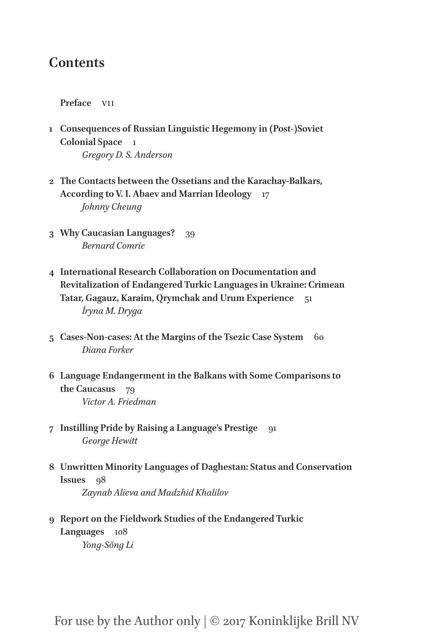# **Contents**

**Preface** vii

- **1 Consequences of Russian Linguistic Hegemony in (Post-)Soviet Colonial Space** 1 *Gregory D. S. Anderson*
- **2 The Contacts between the Ossetians and the Karachay-Balkars, According to V. I. Abaev and Marrian Ideology** 17 *Johnny Cheung*
- **3 Why Caucasian Languages?** 39 *Bernard Comrie*
- **4 International Research Collaboration on Documentation and Revitalization of Endangered Turkic Languages in Ukraine: Crimean Tatar, Gagauz, Karaim, Qrymchak and Urum Experience** 51 *İryna M. Dryga*
- **5 Cases-Non-cases: At the Margins of the Tsezic Case System** 60 *Diana Forker*
- **6 Language Endangerment in the Balkans with Some Comparisons to the Caucasus** 79 *Victor A. Friedman*
- **7 Instilling Pride by Raising a Language's Prestige** 91 *George Hewitt*
- **8 Unwritten Minority Languages of Daghestan: Status and Conservation Issues** 98 *Zaynab Alieva and Madzhid Khalilov*
- **9 Report on the Fieldwork Studies of the Endangered Turkic Languages** 108 *Yong-Sŏng Li*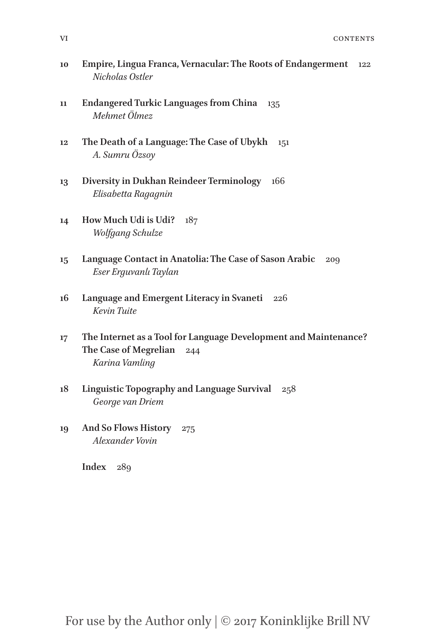- **10 Empire, Lingua Franca, Vernacular: The Roots of Endangerment** 122 *Nicholas Ostler*
- **11 Endangered Turkic Languages from China** 135 *Mehmet Ölmez*
- **12 The Death of a Language: The Case of Ubykh** 151 *A. Sumru Özsoy*
- **13 Diversity in Dukhan Reindeer Terminology** 166 *Elisabetta Ragagnin*
- **14 How Much Udi is Udi?** 187 *Wolfgang Schulze*
- **15 Language Contact in Anatolia: The Case of Sason Arabic** 209 *Eser Erguvanlı Taylan*
- **16 Language and Emergent Literacy in Svaneti** 226 *Kevin Tuite*
- **17 The Internet as a Tool for Language Development and Maintenance? The Case of Megrelian** 244 *Karina Vamling*
- **18 Linguistic Topography and Language Survival** 258 *George van Driem*
- **19 And So Flows History** 275 *Alexander Vovin*

**Index** 289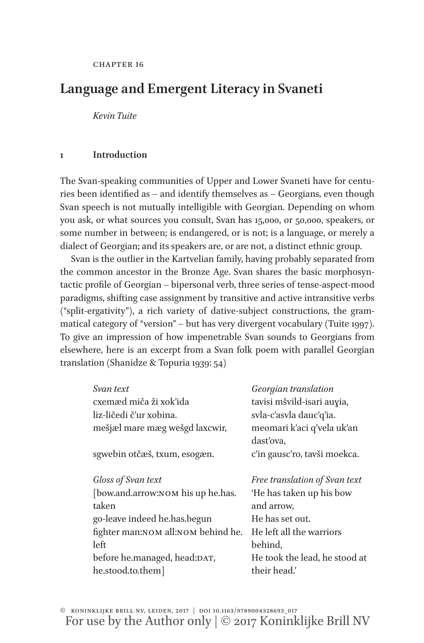## **Language and Emergent Literacy in Svaneti**

*Kevin Tuite*

#### **1 Introduction**

The Svan-speaking communities of Upper and Lower Svaneti have for centuries been identified as – and identify themselves as – Georgians, even though Svan speech is not mutually intelligible with Georgian. Depending on whom you ask, or what sources you consult, Svan has 15,000, or 50,000, speakers, or some number in between; is endangered, or is not; is a language, or merely a dialect of Georgian; and its speakers are, or are not, a distinct ethnic group.

Svan is the outlier in the Kartvelian family, having probably separated from the common ancestor in the Bronze Age. Svan shares the basic morphosyntactic profile of Georgian – bipersonal verb, three series of tense-aspect-mood paradigms, shifting case assignment by transitive and active intransitive verbs ("split-ergativity"), a rich variety of dative-subject constructions, the grammatical category of "version" – but has very divergent vocabulary (Tuite 1997). To give an impression of how impenetrable Svan sounds to Georgians from elsewhere, here is an excerpt from a Svan folk poem with parallel Georgian translation (Shanidze & Topuria 1939: 54)

| Svan text                          | Georgian translation          |  |
|------------------------------------|-------------------------------|--|
| cxemæd miča ži xok'ida             | tavisi mšvild-isari auyia,    |  |
| liz-ličedi č'ur xobina.            | svla-c'asvla dauc'q'ia.       |  |
| mešjæl mare mæg wešgd laxcwir,     | meomari k'aci q'vela uk'an    |  |
|                                    | dast'ova.                     |  |
| sgwebin otčæš, txum, esogæn.       | c'in gausc'ro, tavši moekca.  |  |
|                                    |                               |  |
| Gloss of Svan text                 | Free translation of Svan text |  |
| [bow.and.arrow:NOM his up he.has.  | 'He has taken up his bow      |  |
| taken                              | and arrow,                    |  |
| go-leave indeed he.has.begun       | He has set out.               |  |
| fighter man:NOM all:NOM behind he. | He left all the warriors      |  |
| left                               | behind,                       |  |
| before he.managed, head:DAT,       | He took the lead, he stood at |  |
| he.stood.to.them]                  | their head.'                  |  |
|                                    |                               |  |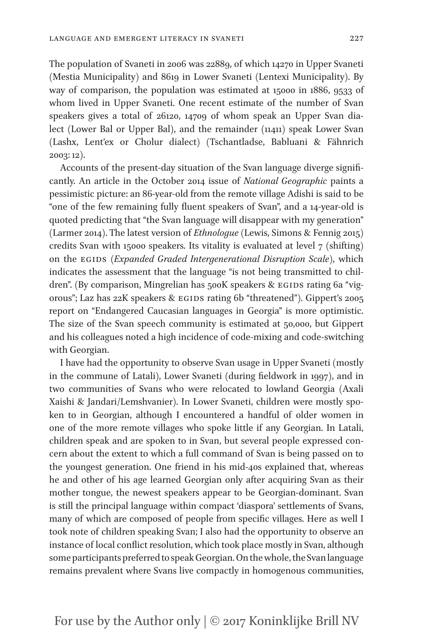The population of Svaneti in 2006 was 22889, of which 14270 in Upper Svaneti (Mestia Municipality) and 8619 in Lower Svaneti (Lentexi Municipality). By way of comparison, the population was estimated at 15000 in 1886, 9533 of whom lived in Upper Svaneti. One recent estimate of the number of Svan speakers gives a total of 26120, 14709 of whom speak an Upper Svan dialect (Lower Bal or Upper Bal), and the remainder (11411) speak Lower Svan (Lashx, Lent'ex or Cholur dialect) (Tschantladse, Babluani & Fähnrich 2003: 12).

Accounts of the present-day situation of the Svan language diverge significantly. An article in the October 2014 issue of *National Geographic* paints a pessimistic picture: an 86-year-old from the remote village Adishi is said to be "one of the few remaining fully fluent speakers of Svan", and a 14-year-old is quoted predicting that "the Svan language will disappear with my generation" (Larmer 2014). The latest version of *Ethnologue* (Lewis, Simons & Fennig 2015) credits Svan with 15000 speakers. Its vitality is evaluated at level 7 (shifting) on the EGIDS (*Expanded Graded Intergenerational Disruption Scale*), which indicates the assessment that the language "is not being transmitted to children". (By comparison, Mingrelian has 500K speakers & EGIDS rating 6a "vigorous"; Laz has 22K speakers & EGIDS rating 6b "threatened"). Gippert's 2005 report on "Endangered Caucasian languages in Georgia" is more optimistic. The size of the Svan speech community is estimated at 50,000, but Gippert and his colleagues noted a high incidence of code-mixing and code-switching with Georgian.

I have had the opportunity to observe Svan usage in Upper Svaneti (mostly in the commune of Latali), Lower Svaneti (during fieldwork in 1997), and in two communities of Svans who were relocated to lowland Georgia (Axali Xaishi & Jandari/Lemshvanier). In Lower Svaneti, children were mostly spoken to in Georgian, although I encountered a handful of older women in one of the more remote villages who spoke little if any Georgian. In Latali, children speak and are spoken to in Svan, but several people expressed concern about the extent to which a full command of Svan is being passed on to the youngest generation. One friend in his mid-40s explained that, whereas he and other of his age learned Georgian only after acquiring Svan as their mother tongue, the newest speakers appear to be Georgian-dominant. Svan is still the principal language within compact 'diaspora' settlements of Svans, many of which are composed of people from specific villages. Here as well I took note of children speaking Svan; I also had the opportunity to observe an instance of local conflict resolution, which took place mostly in Svan, although some participants preferred to speak Georgian. On the whole, the Svan language remains prevalent where Svans live compactly in homogenous communities,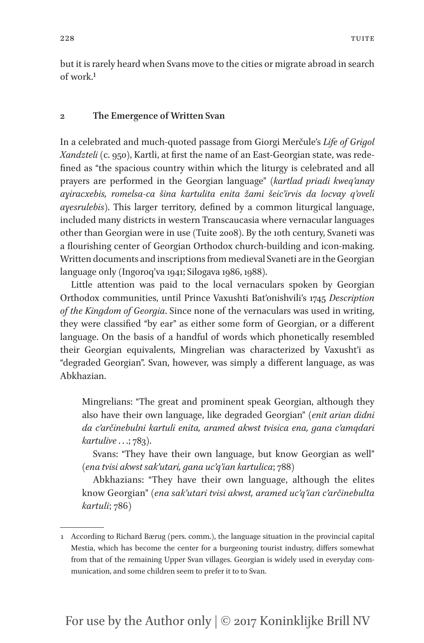but it is rarely heard when Svans move to the cities or migrate abroad in search of work.1

#### **2 The Emergence of Written Svan**

In a celebrated and much-quoted passage from Giorgi Merčule's *Life of Grigol Xandzteli* (c. 950), Kartli, at first the name of an East-Georgian state, was redefined as "the spacious country within which the liturgy is celebrated and all prayers are performed in the Georgian language" (*kartlad priadi kweq'anay aɣiracxebis, romelsa-ca šina kartulita enita žami šeic'irvis da locvay q'oveli ayesrulebis*). This larger territory, defined by a common liturgical language, included many districts in western Transcaucasia where vernacular languages other than Georgian were in use (Tuite 2008). By the 10th century, Svaneti was a flourishing center of Georgian Orthodox church-building and icon-making. Written documents and inscriptions from medieval Svaneti are in the Georgian language only (Ingoroq'va 1941; Silogava 1986, 1988).

Little attention was paid to the local vernaculars spoken by Georgian Orthodox communities, until Prince Vaxushti Bat'onishvili's 1745 *Description of the Kingdom of Georgia*. Since none of the vernaculars was used in writing, they were classified "by ear" as either some form of Georgian, or a different language. On the basis of a handful of words which phonetically resembled their Georgian equivalents, Mingrelian was characterized by Vaxusht'i as "degraded Georgian". Svan, however, was simply a different language, as was Abkhazian.

Mingrelians: "The great and prominent speak Georgian, although they also have their own language, like degraded Georgian" (*enit arian didni da c'arčinebulni kartuli enita, aramed akwst tvisica ena, gana c'amqdari kartulive* . . .; 783).

Svans: "They have their own language, but know Georgian as well" (*ena tvisi akwst sak'utari, gana uc'q'ian kartulica*; 788)

Abkhazians: "They have their own language, although the elites know Georgian" (*ena sak'utari tvisi akwst, aramed uc'q'ian c'arčinebulta kartuli*; 786)

<sup>1</sup> According to Richard Bærug (pers. comm.), the language situation in the provincial capital Mestia, which has become the center for a burgeoning tourist industry, difffers somewhat from that of the remaining Upper Svan villages. Georgian is widely used in everyday communication, and some children seem to prefer it to to Svan.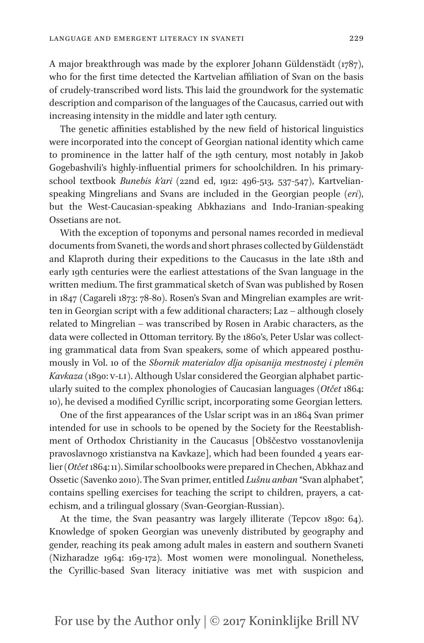A major breakthrough was made by the explorer Johann Güldenstädt (1787), who for the first time detected the Kartvelian affiliation of Svan on the basis of crudely-transcribed word lists. This laid the groundwork for the systematic description and comparison of the languages of the Caucasus, carried out with increasing intensity in the middle and later 19th century.

The genetic affinities established by the new field of historical linguistics were incorporated into the concept of Georgian national identity which came to prominence in the latter half of the 19th century, most notably in Jakob Gogebashvili's highly-influential primers for schoolchildren. In his primaryschool textbook *Bunebis k'ari* (22nd ed, 1912: 496-513, 537-547), Kartvelianspeaking Mingrelians and Svans are included in the Georgian people (*eri*), but the West-Caucasian-speaking Abkhazians and Indo-Iranian-speaking Ossetians are not.

With the exception of toponyms and personal names recorded in medieval documents from Svaneti, the words and short phrases collected by Güldenstädt and Klaproth during their expeditions to the Caucasus in the late 18th and early 19th centuries were the earliest attestations of the Svan language in the written medium. The first grammatical sketch of Svan was published by Rosen in 1847 (Cagareli 1873: 78-80). Rosen's Svan and Mingrelian examples are written in Georgian script with a few additional characters; Laz – although closely related to Mingrelian – was transcribed by Rosen in Arabic characters, as the data were collected in Ottoman territory. By the 1860's, Peter Uslar was collecting grammatical data from Svan speakers, some of which appeared posthumously in Vol. 10 of the *Sbornik materialov dlja opisanija mestnostej i plemën Kavkaza* (1890: V-LI). Although Uslar considered the Georgian alphabet particularly suited to the complex phonologies of Caucasian languages (*Otčet* 1864: 10), he devised a modified Cyrillic script, incorporating some Georgian letters.

One of the first appearances of the Uslar script was in an 1864 Svan primer intended for use in schools to be opened by the Society for the Reestablishment of Orthodox Christianity in the Caucasus [Obščestvo vosstanovlenija pravoslavnogo xristianstva na Kavkaze], which had been founded 4 years earlier (*Otčet* 1864: 11). Similar schoolbooks were prepared in Chechen, Abkhaz and Ossetic (Savenko 2010). The Svan primer, entitled *Lušnu anban* "Svan alphabet", contains spelling exercises for teaching the script to children, prayers, a catechism, and a trilingual glossary (Svan-Georgian-Russian).

At the time, the Svan peasantry was largely illiterate (Tepcov 1890: 64). Knowledge of spoken Georgian was unevenly distributed by geography and gender, reaching its peak among adult males in eastern and southern Svaneti (Nizharadze 1964: 169-172). Most women were monolingual. Nonetheless, the Cyrillic-based Svan literacy initiative was met with suspicion and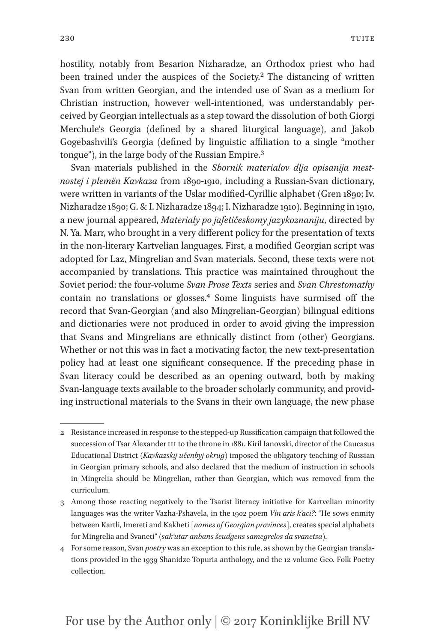hostility, notably from Besarion Nizharadze, an Orthodox priest who had been trained under the auspices of the Society.<sup>2</sup> The distancing of written Svan from written Georgian, and the intended use of Svan as a medium for Christian instruction, however well-intentioned, was understandably perceived by Georgian intellectuals as a step toward the dissolution of both Giorgi Merchule's Georgia (defined by a shared liturgical language), and Jakob Gogebashvili's Georgia (defined by linguistic affiliation to a single "mother tongue"), in the large body of the Russian Empire.3

Svan materials published in the *Sbornik materialov dlja opisanija mestnostej i plemën Kavkaza* from 1890-1910, including a Russian-Svan dictionary, were written in variants of the Uslar modified-Cyrillic alphabet (Gren 1890; Iv. Nizharadze 1890; G. & I. Nizharadze 1894; I. Nizharadze 1910). Beginning in 1910, a new journal appeared, *Materialy po jafetičeskomy jazykoznaniju*, directed by N. Ya. Marr, who brought in a very different policy for the presentation of texts in the non-literary Kartvelian languages. First, a modified Georgian script was adopted for Laz, Mingrelian and Svan materials. Second, these texts were not accompanied by translations. This practice was maintained throughout the Soviet period: the four-volume *Svan Prose Texts* series and *Svan Chrestomathy* contain no translations or glosses. $4$  Some linguists have surmised off the record that Svan-Georgian (and also Mingrelian-Georgian) bilingual editions and dictionaries were not produced in order to avoid giving the impression that Svans and Mingrelians are ethnically distinct from (other) Georgians. Whether or not this was in fact a motivating factor, the new text-presentation policy had at least one significant consequence. If the preceding phase in Svan literacy could be described as an opening outward, both by making Svan-language texts available to the broader scholarly community, and providing instructional materials to the Svans in their own language, the new phase

<sup>2</sup> Resistance increased in response to the stepped-up Russification campaign that followed the succession of Tsar Alexander III to the throne in 1881. Kiril Ianovski, director of the Caucasus Educational District (*Kavkazskij učenbyj okrug*) imposed the obligatory teaching of Russian in Georgian primary schools, and also declared that the medium of instruction in schools in Mingrelia should be Mingrelian, rather than Georgian, which was removed from the curriculum.

<sup>3</sup> Among those reacting negatively to the Tsarist literacy initiative for Kartvelian minority languages was the writer Vazha-Pshavela, in the 1902 poem *Vin aris k'aci?*: "He sows enmity between Kartli, Imereti and Kakheti [*names of Georgian provinces*], creates special alphabets for Mingrelia and Svaneti" (*sak'utar anbans šeudgens samegrelos da svanetsa*).

<sup>4</sup> For some reason, Svan *poetry* was an exception to this rule, as shown by the Georgian translations provided in the 1939 Shanidze-Topuria anthology, and the 12-volume Geo. Folk Poetry collection.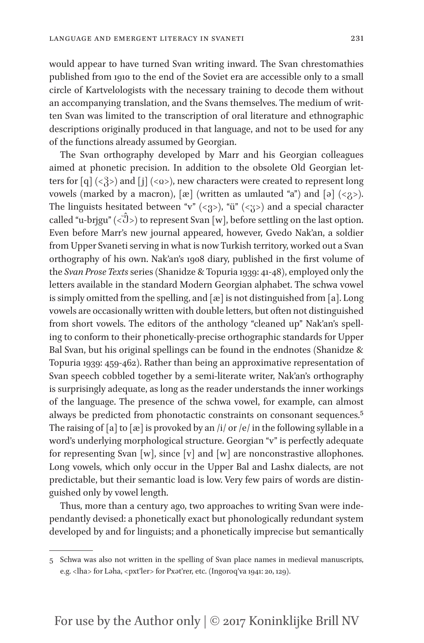would appear to have turned Svan writing inward. The Svan chrestomathies published from 1910 to the end of the Soviet era are accessible only to a small circle of Kartvelologists with the necessary training to decode them without an accompanying translation, and the Svans themselves. The medium of written Svan was limited to the transcription of oral literature and ethnographic descriptions originally produced in that language, and not to be used for any of the functions already assumed by Georgian.

The Svan orthography developed by Marr and his Georgian colleagues aimed at phonetic precision. In addition to the obsolete Old Georgian letters for  $[q]$  (< $\S$ >) and  $[i]$  (< $\omega$ >), new characters were created to represent long vowels (marked by a macron),  $[\mathcal{R}]$  (written as umlauted "a") and  $[\mathcal{A}]$  (< $\langle \mathcal{A} \rangle$ ). The linguists hesitated between "v"  $\langle \langle 3 \rangle$ ), "ü"  $\langle \langle 3 \rangle$  and a special character called "u-brigu" (< $\hat{J}$ >) to represent Svan [w], before settling on the last option. Even before Marr's new journal appeared, however, Gvedo Nak'an, a soldier from Upper Svaneti serving in what is now Turkish territory, worked out a Svan orthography of his own. Nak'an's 1908 diary, published in the first volume of the *Svan Prose Texts* series (Shanidze & Topuria 1939: 41-48), employed only the letters available in the standard Modern Georgian alphabet. The schwa vowel is simply omitted from the spelling, and  $[\alpha]$  is not distinguished from  $[a]$ . Long vowels are occasionally written with double letters, but often not distinguished from short vowels. The editors of the anthology "cleaned up" Nak'an's spelling to conform to their phonetically-precise orthographic standards for Upper Bal Svan, but his original spellings can be found in the endnotes (Shanidze & Topuria 1939: 459-462). Rather than being an approximative representation of Svan speech cobbled together by a semi-literate writer, Nak'an's orthography is surprisingly adequate, as long as the reader understands the inner workings of the language. The presence of the schwa vowel, for example, can almost always be predicted from phonotactic constraints on consonant sequences.5 The raising of [a] to [æ] is provoked by an  $\frac{1}{\alpha}$  or  $\frac{1}{\beta}$  in the following syllable in a word's underlying morphological structure. Georgian "v" is perfectly adequate for representing Svan  $[w]$ , since  $[v]$  and  $[w]$  are nonconstrastive allophones. Long vowels, which only occur in the Upper Bal and Lashx dialects, are not predictable, but their semantic load is low. Very few pairs of words are distinguished only by vowel length.

Thus, more than a century ago, two approaches to writing Svan were independantly devised: a phonetically exact but phonologically redundant system developed by and for linguists; and a phonetically imprecise but semantically

<sup>5</sup> Schwa was also not written in the spelling of Svan place names in medieval manuscripts, e.g. <lha> for Ləha, <pxt'ler> for Pxət'rer, etc. (Ingoroq'va 1941: 20, 129).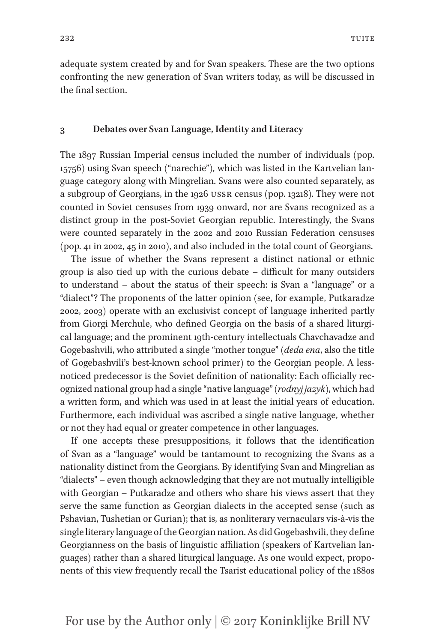adequate system created by and for Svan speakers. These are the two options confronting the new generation of Svan writers today, as will be discussed in the final section.

#### **3 Debates over Svan Language, Identity and Literacy**

The 1897 Russian Imperial census included the number of individuals (pop. 15756) using Svan speech ("narechie"), which was listed in the Kartvelian language category along with Mingrelian. Svans were also counted separately, as a subgroup of Georgians, in the 1926 USSR census (pop. 13218). They were not counted in Soviet censuses from 1939 onward, nor are Svans recognized as a distinct group in the post-Soviet Georgian republic. Interestingly, the Svans were counted separately in the 2002 and 2010 Russian Federation censuses (pop. 41 in 2002, 45 in 2010), and also included in the total count of Georgians.

The issue of whether the Svans represent a distinct national or ethnic group is also tied up with the curious debate  $-$  difficult for many outsiders to understand – about the status of their speech: is Svan a "language" or a "dialect"? The proponents of the latter opinion (see, for example, Putkaradze 2002, 2003) operate with an exclusivist concept of language inherited partly from Giorgi Merchule, who defined Georgia on the basis of a shared liturgical language; and the prominent 19th-century intellectuals Chavchavadze and Gogebashvili, who attributed a single "mother tongue" (*deda ena*, also the title of Gogebashvili's best-known school primer) to the Georgian people. A lessnoticed predecessor is the Soviet definition of nationality: Each officially recognized national group had a single "native language" (*rodnyj jazyk*), which had a written form, and which was used in at least the initial years of education. Furthermore, each individual was ascribed a single native language, whether or not they had equal or greater competence in other languages.

If one accepts these presuppositions, it follows that the identification of Svan as a "language" would be tantamount to recognizing the Svans as a nationality distinct from the Georgians. By identifying Svan and Mingrelian as "dialects" – even though acknowledging that they are not mutually intelligible with Georgian – Putkaradze and others who share his views assert that they serve the same function as Georgian dialects in the accepted sense (such as Pshavian, Tushetian or Gurian); that is, as nonliterary vernaculars vis-à-vis the single literary language of the Georgian nation. As did Gogebashvili, they define Georgianness on the basis of linguistic affiliation (speakers of Kartvelian languages) rather than a shared liturgical language. As one would expect, proponents of this view frequently recall the Tsarist educational policy of the 1880s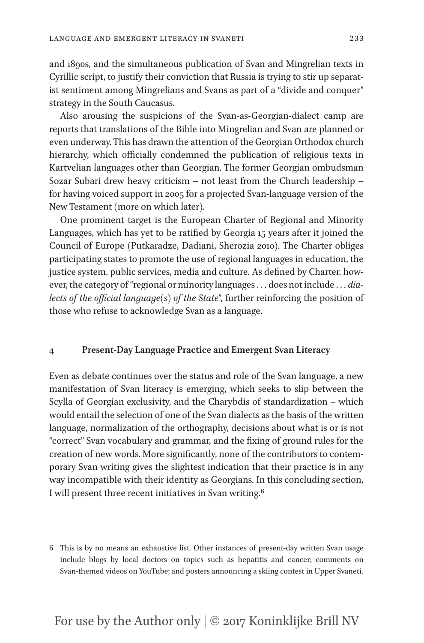and 1890s, and the simultaneous publication of Svan and Mingrelian texts in Cyrillic script, to justify their conviction that Russia is trying to stir up separatist sentiment among Mingrelians and Svans as part of a "divide and conquer" strategy in the South Caucasus.

Also arousing the suspicions of the Svan-as-Georgian-dialect camp are reports that translations of the Bible into Mingrelian and Svan are planned or even underway. This has drawn the attention of the Georgian Orthodox church hierarchy, which officially condemned the publication of religious texts in Kartvelian languages other than Georgian. The former Georgian ombudsman Sozar Subari drew heavy criticism – not least from the Church leadership – for having voiced support in 2005 for a projected Svan-language version of the New Testament (more on which later).

One prominent target is the European Charter of Regional and Minority Languages, which has yet to be ratified by Georgia 15 years after it joined the Council of Europe (Putkaradze, Dadiani, Sherozia 2010). The Charter obliges participating states to promote the use of regional languages in education, the justice system, public services, media and culture. As defined by Charter, however, the category of "regional or minority languages . . . does not include . . . *dialects of the official language(s) of the State*", further reinforcing the position of those who refuse to acknowledge Svan as a language.

#### **4 Present-Day Language Practice and Emergent Svan Literacy**

Even as debate continues over the status and role of the Svan language, a new manifestation of Svan literacy is emerging, which seeks to slip between the Scylla of Georgian exclusivity, and the Charybdis of standardization – which would entail the selection of one of the Svan dialects as the basis of the written language, normalization of the orthography, decisions about what is or is not "correct" Svan vocabulary and grammar, and the fixing of ground rules for the creation of new words. More significantly, none of the contributors to contemporary Svan writing gives the slightest indication that their practice is in any way incompatible with their identity as Georgians. In this concluding section, I will present three recent initiatives in Svan writing.6

<sup>6</sup> This is by no means an exhaustive list. Other instances of present-day written Svan usage include blogs by local doctors on topics such as hepatitis and cancer; comments on Svan-themed videos on YouTube; and posters announcing a skiing contest in Upper Svaneti.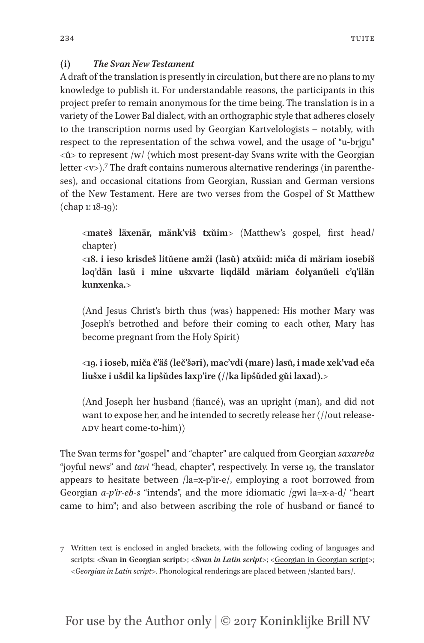#### **(i)** *The Svan New Testament*

A draft of the translation is presently in circulation, but there are no plans to my knowledge to publish it. For understandable reasons, the participants in this project prefer to remain anonymous for the time being. The translation is in a variety of the Lower Bal dialect, with an orthographic style that adheres closely to the transcription norms used by Georgian Kartvelologists – notably, with respect to the representation of the schwa vowel, and the usage of "u-brjgu"  $\langle \tilde{u} \rangle$  to represent /w/ (which most present-day Svans write with the Georgian letter  $\langle v \rangle$ ).<sup>7</sup> The draft contains numerous alternative renderings (in parentheses), and occasional citations from Georgian, Russian and German versions of the New Testament. Here are two verses from the Gospel of St Matthew (chap 1: 18-19):

<mateš läxenär, mänk'viš txŭim> (Matthew's gospel, first head/ chapter)

**<18. i ieso krisdeš litŭene amži (lasŭ) atxŭid: miča di märiam iosebiš ləq'dän lasŭ i mine ušxvarte liqdäld märiam čolɣanŭeli c'q'ilän kunxenka.>** 

(And Jesus Christ's birth thus (was) happened: His mother Mary was Joseph's betrothed and before their coming to each other, Mary has become pregnant from the Holy Spirit)

**<19. i ioseb, miča č'äš (leč'šəri), mac'vdi (mare) lasŭ, i made xek'vad eča liušxe i ušdil ka lipšŭdes laxp'ire (//ka lipšŭded gŭi laxad).>**

(And Joseph her husband (fiancé), was an upright (man), and did not want to expose her, and he intended to secretly release her (//out release-ADV heart come-to-him))

The Svan terms for "gospel" and "chapter" are calqued from Georgian *saxareba* "joyful news" and *tavi* "head, chapter", respectively. In verse 19, the translator appears to hesitate between /la=x-p'ir-e/, employing a root borrowed from Georgian *a-p'ir-eb-s* "intends", and the more idiomatic /gwi la=x-a-d/ "heart came to him"; and also between ascribing the role of husband or fiancé to

<sup>7</sup> Written text is enclosed in angled brackets, with the following coding of languages and scripts: <**Svan in Georgian script**>; <*Svan in Latin script*>; <Georgian in Georgian script>; <*Georgian in Latin script*>. Phonological renderings are placed between /slanted bars/.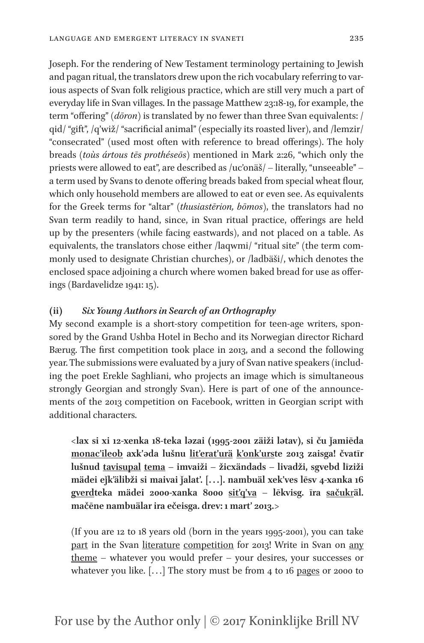Joseph. For the rendering of New Testament terminology pertaining to Jewish and pagan ritual, the translators drew upon the rich vocabulary referring to various aspects of Svan folk religious practice, which are still very much a part of everyday life in Svan villages. In the passage Matthew 23:18-19, for example, the term "offering" (*dōron*) is translated by no fewer than three Svan equivalents: / qid/ "gift", /q'wiž/ "sacrificial animal" (especially its roasted liver), and /lemzir/ "consecrated" (used most often with reference to bread offferings). The holy breads (*toùs ártous tēs prothéseōs*) mentioned in Mark 2:26, "which only the priests were allowed to eat", are described as /uc'onäš/ – literally, "unseeable" – a term used by Svans to denote offfering breads baked from special wheat flour, which only household members are allowed to eat or even see. As equivalents for the Greek terms for "altar" (*thusiastērion, bōmos*), the translators had no Svan term readily to hand, since, in Svan ritual practice, offerings are held up by the presenters (while facing eastwards), and not placed on a table. As equivalents, the translators chose either /laqwmi/ "ritual site" (the term commonly used to designate Christian churches), or /ladbäši/, which denotes the enclosed space adjoining a church where women baked bread for use as offerings (Bardavelidze 1941: 15).

#### **(ii)** *Six Young Authors in Search of an Orthography*

My second example is a short-story competition for teen-age writers, sponsored by the Grand Ushba Hotel in Becho and its Norwegian director Richard Bærug. The first competition took place in 2013, and a second the following year. The submissions were evaluated by a jury of Svan native speakers (including the poet Erekle Saghliani, who projects an image which is simultaneous strongly Georgian and strongly Svan). Here is part of one of the announcements of the 2013 competition on Facebook, written in Georgian script with additional characters.

**<lax si xi 12-xenka 18-teka ləzai (1995-2001 zäiži lətav), si ču ǰamiēda monac'ileob axk'əda lušnu lit'erat'urä k'onk'urste 2013 zaisga! čvatīr lušnud tavisupal tema – imvaiži – žicxändads – livadži, sgvebd līziži mädei eǰk'älibži si maivai ǰalat'. [. . .]. nambuäl xek'ves lēsv 4-xanka 16 gverdteka mädei 2000-xanka 8000 sit'q'va – lēkvisg. īra sačuk**r**äl. mačēne nambuälar ira ečeisga. drev: 1 mart' 2013.>** 

(If you are 12 to 18 years old (born in the years 1995-2001), you can take part in the Svan literature competition for 2013! Write in Svan on any theme – whatever you would prefer – your desires, your successes or whatever you like. [...] The story must be from 4 to 16 pages or 2000 to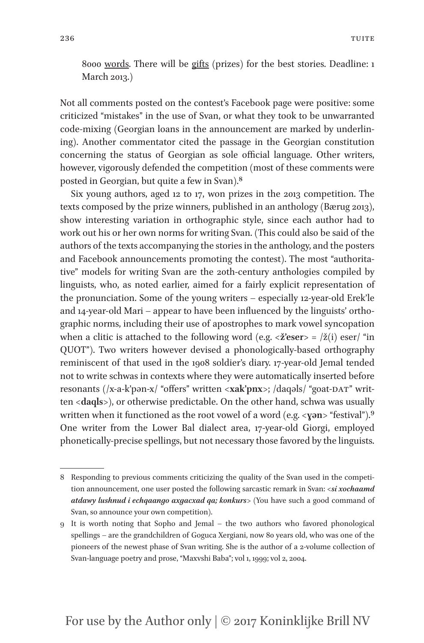8000 words. There will be gifts (prizes) for the best stories. Deadline: 1 March 2013.)

Not all comments posted on the contest's Facebook page were positive: some criticized "mistakes" in the use of Svan, or what they took to be unwarranted code-mixing (Georgian loans in the announcement are marked by underlining). Another commentator cited the passage in the Georgian constitution concerning the status of Georgian as sole official language. Other writers, however, vigorously defended the competition (most of these comments were posted in Georgian, but quite a few in Svan).8

Six young authors, aged 12 to 17, won prizes in the 2013 competition. The texts composed by the prize winners, published in an anthology (Bærug 2013), show interesting variation in orthographic style, since each author had to work out his or her own norms for writing Svan. (This could also be said of the authors of the texts accompanying the stories in the anthology, and the posters and Facebook announcements promoting the contest). The most "authoritative" models for writing Svan are the 20th-century anthologies compiled by linguists, who, as noted earlier, aimed for a fairly explicit representation of the pronunciation. Some of the young writers – especially 12-year-old Erek'le and 14-year-old Mari – appear to have been influenced by the linguists' orthographic norms, including their use of apostrophes to mark vowel syncopation when a clitic is attached to the following word (e.g.  $\langle \check{z}'\check{z} \rangle = \frac{\check{z}(i)}{\check{z}(i)} \cdot \frac{\check{z}(i)}{\check{z}(i)}$ QUOT"). Two writers however devised a phonologically-based orthography reminiscent of that used in the 1908 soldier's diary. 17-year-old Jemal tended not to write schwas in contexts where they were automatically inserted before resonants (/x-a-k'pən-x/ "offers" written <xak'pnx>; /daqəls/ "goat-DAT" written <**daqls**>), or otherwise predictable. On the other hand, schwa was usually written when it functioned as the root vowel of a word (e.g. <**ɣən**> "festival").9 One writer from the Lower Bal dialect area, 17-year-old Giorgi, employed phonetically-precise spellings, but not necessary those favored by the linguists.

<sup>8</sup> Responding to previous comments criticizing the quality of the Svan used in the competition announcement, one user posted the following sarcastic remark in Svan: *<si xochaamd atdawy lushnud i echqaango axgacxad qa; konkurs>* (You have such a good command of Svan, so announce your own competition).

<sup>9</sup> It is worth noting that Sopho and Jemal – the two authors who favored phonological spellings – are the grandchildren of Goguca Xergiani, now 80 years old, who was one of the pioneers of the newest phase of Svan writing. She is the author of a 2-volume collection of Svan-language poetry and prose, "Maxvshi Baba"; vol 1, 1999; vol 2, 2004.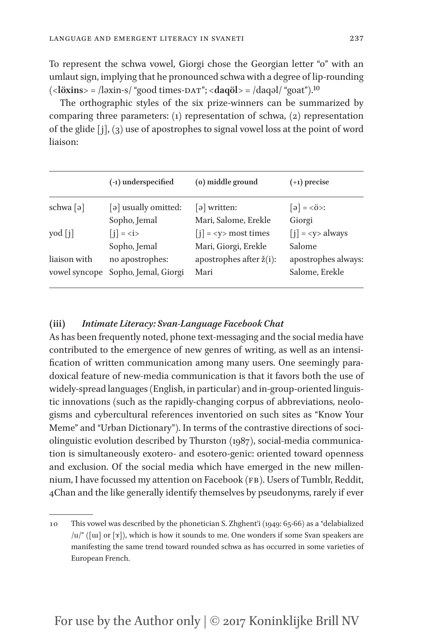To represent the schwa vowel, Giorgi chose the Georgian letter "o" with an umlaut sign, implying that he pronounced schwa with a degree of lip-rounding (<**löxins**> = /ləxin-s/ "good times-DAT"; <**daqöl**> = /daqəl/ "goat").10

The orthographic styles of the six prize-winners can be summarized by comparing three parameters: (1) representation of schwa, (2) representation of the glide [j], (3) use of apostrophes to signal vowel loss at the point of word liaison:

|                         | (-1) underspecified                | (o) middle ground                  | $(+1)$ precise                                          |
|-------------------------|------------------------------------|------------------------------------|---------------------------------------------------------|
| schwa $\lceil a \rceil$ | [a] usually omitted:               | [ə] written:                       | $\left[\Theta\right] = \langle \ddot{\theta} \rangle$ : |
|                         | Sopho, Jemal                       | Mari, Salome, Erekle               | Giorgi                                                  |
| yod [j]                 | $[i] = i$                          | $[i] = $ most times                | $[i] = $ always                                         |
|                         | Sopho, Jemal                       | Mari, Giorgi, Erekle               | Salome                                                  |
| liaison with            | no apostrophes:                    | apostrophes after $\check{z}(i)$ : | apostrophes always:                                     |
|                         | vowel syncope Sopho, Jemal, Giorgi | Mari                               | Salome, Erekle                                          |

#### **(iii)** *Intimate Literacy: Svan-Language Facebook Chat*

As has been frequently noted, phone text-messaging and the social media have contributed to the emergence of new genres of writing, as well as an intensification of written communication among many users. One seemingly paradoxical feature of new-media communication is that it favors both the use of widely-spread languages (English, in particular) and in-group-oriented linguistic innovations (such as the rapidly-changing corpus of abbreviations, neologisms and cybercultural references inventoried on such sites as "Know Your Meme" and "Urban Dictionary"). In terms of the contrastive directions of sociolinguistic evolution described by Thurston (1987), social-media communication is simultaneously exotero- and esotero-genic: oriented toward openness and exclusion. Of the social media which have emerged in the new millennium, I have focussed my attention on Facebook (FB). Users of Tumblr, Reddit, 4Chan and the like generally identify themselves by pseudonyms, rarely if ever

<sup>10</sup> This vowel was described by the phonetician S. Zhghent'i (1949: 65-66) as a "delabialized  $|u|$ " ([ $u$ ] or [ $\tau$ ]), which is how it sounds to me. One wonders if some Svan speakers are manifesting the same trend toward rounded schwa as has occurred in some varieties of European French.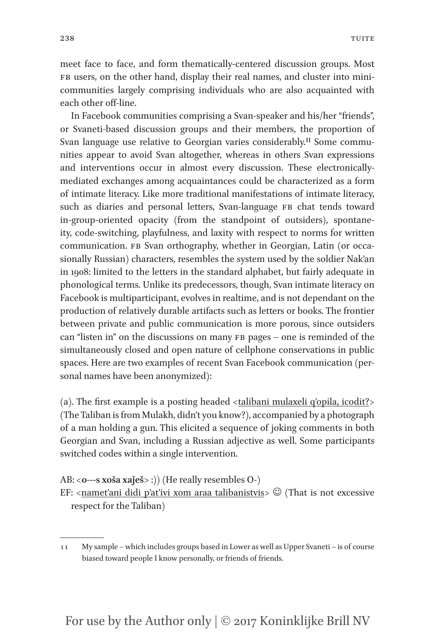meet face to face, and form thematically-centered discussion groups. Most FB users, on the other hand, display their real names, and cluster into minicommunities largely comprising individuals who are also acquainted with each other off-line.

In Facebook communities comprising a Svan-speaker and his/her "friends", or Svaneti-based discussion groups and their members, the proportion of Svan language use relative to Georgian varies considerably.<sup>11</sup> Some communities appear to avoid Svan altogether, whereas in others Svan expressions and interventions occur in almost every discussion. These electronicallymediated exchanges among acquaintances could be characterized as a form of intimate literacy. Like more traditional manifestations of intimate literacy, such as diaries and personal letters, Svan-language FB chat tends toward in-group- oriented opacity (from the standpoint of outsiders), spontaneity, code- switching, playfulness, and laxity with respect to norms for written communication. FB Svan orthography, whether in Georgian, Latin (or occasionally Russian) characters, resembles the system used by the soldier Nak'an in 1908: limited to the letters in the standard alphabet, but fairly adequate in phonological terms. Unlike its predecessors, though, Svan intimate literacy on Facebook is multiparticipant, evolves in realtime, and is not dependant on the production of relatively durable artifacts such as letters or books. The frontier between private and public communication is more porous, since outsiders can "listen in" on the discussions on many FB pages – one is reminded of the simultaneously closed and open nature of cellphone conservations in public spaces. Here are two examples of recent Svan Facebook communication (personal names have been anonymized):

(a). The first example is a posting headed  $\langle$ talibani mulaxeli q'opila, icodit?> (The Taliban is from Mulakh, didn't you know?), accompanied by a photograph of a man holding a gun. This elicited a sequence of joking comments in both Georgian and Svan, including a Russian adjective as well. Some participants switched codes within a single intervention.

AB: <**o---s xoša xaǰeš>** :)) (He really resembles O-)

EF:  $\langle$ namet'ani didi p'at'ivi xom araa talibanistvis $\langle \mathcal{O} \rangle$  (That is not excessive respect for the Taliban)

<sup>11</sup> My sample – which includes groups based in Lower as well as Upper Svaneti – is of course biased toward people I know personally, or friends of friends.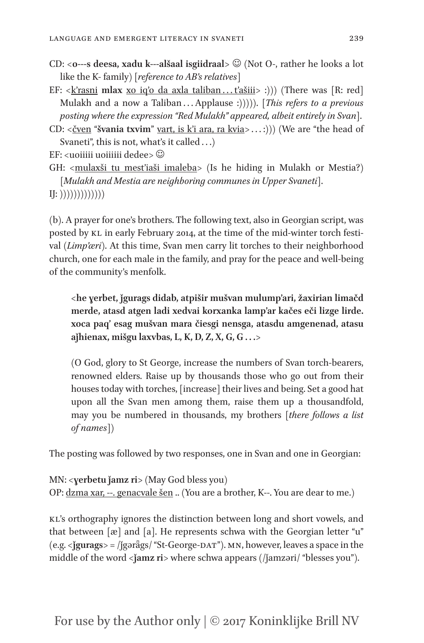- CD: <**o---s deesa, xadu k---alšaal isgiidraal>** ☺ (Not O-, rather he looks a lot like the K- family) [*reference to AB's relatives*]
- EF:  $\langle$ <u>k'rasni</u> **mlax** xo iq'o da axla taliban ... t'ašiii> :))) (There was [R: red] Mulakh and a now a Taliban . . . Applause :))))). [*This refers to a previous posting where the expression "Red Mulakh" appeared, albeit entirely in Svan*].
- CD: <<u>čven</u> "švania txvim" <u>vart, is k'i ara, ra kvia</u>>...:))) (We are "the head of Svaneti", this is not, what's it called ...

EF: <uoiiiii uoiiiiii dedee>  $\odot$ 

GH: <mulaxši tu mest'iaši imaleba> (Is he hiding in Mulakh or Mestia?) [*Mulakh and Mestia are neighboring communes in Upper Svaneti*].

 $\{I[: ))))))))))))$ 

(b). A prayer for one's brothers. The following text, also in Georgian script, was posted by KL in early February 2014, at the time of the mid-winter torch festival (*Limp'æri*). At this time, Svan men carry lit torches to their neighborhood church, one for each male in the family, and pray for the peace and well-being of the community's menfolk.

**<he ɣerbet, ǰgurags didab, atpišir mušvan mulump'ari, žaxirian limačd merde, atasd atgen ladi xedvai korxanka lamp'ar kačes eči lizge lirde. xoca paq' esag mušvan mara čiesgi nensga, atasdu amgenenad, atasu aǰhienax, mišgu laxvbas, L, K, D, Z, X, G, G . . .>** 

(O God, glory to St George, increase the numbers of Svan torch-bearers, renowned elders. Raise up by thousands those who go out from their houses today with torches, [increase] their lives and being. Set a good hat upon all the Svan men among them, raise them up a thousandfold, may you be numbered in thousands, my brothers [*there follows a list of names*])

The posting was followed by two responses, one in Svan and one in Georgian:

MN: <**ɣerbetu ǰamz ri>** (May God bless you) OP: <u>dzma xar, --. genacvale šen</u> .. (You are a brother, K--. You are dear to me.)

KL's orthography ignores the distinction between long and short vowels, and that between [æ] and [a]. He represents schwa with the Georgian letter "u" (e.g. <**ǰgurags**> = /ǰgərǟgs/ "St-George-DAT"). MN, however, leaves a space in the middle of the word <**jamz ri**> where schwa appears (/jamzəri/ "blesses you").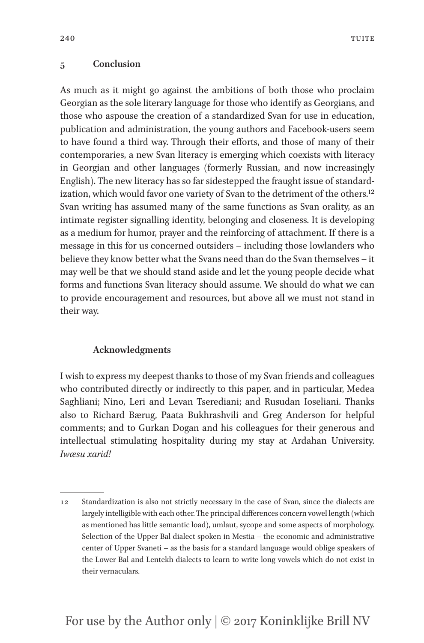#### **5 Conclusion**

As much as it might go against the ambitions of both those who proclaim Georgian as the sole literary language for those who identify as Georgians, and those who aspouse the creation of a standardized Svan for use in education, publication and administration, the young authors and Facebook-users seem to have found a third way. Through their effforts, and those of many of their contemporaries, a new Svan literacy is emerging which coexists with literacy in Georgian and other languages (formerly Russian, and now increasingly English). The new literacy has so far sidestepped the fraught issue of standardization, which would favor one variety of Svan to the detriment of the others.<sup>12</sup> Svan writing has assumed many of the same functions as Svan orality, as an intimate register signalling identity, belonging and closeness. It is developing as a medium for humor, prayer and the reinforcing of attachment. If there is a message in this for us concerned outsiders – including those lowlanders who believe they know better what the Svans need than do the Svan themselves – it may well be that we should stand aside and let the young people decide what forms and functions Svan literacy should assume. We should do what we can to provide encouragement and resources, but above all we must not stand in their way.

#### **Acknowledgments**

I wish to express my deepest thanks to those of my Svan friends and colleagues who contributed directly or indirectly to this paper, and in particular, Medea Saghliani; Nino, Leri and Levan Tserediani; and Rusudan Ioseliani. Thanks also to Richard Bærug, Paata Bukhrashvili and Greg Anderson for helpful comments; and to Gurkan Dogan and his colleagues for their generous and intellectual stimulating hospitality during my stay at Ardahan University. *Iwæsu xarid!*

<sup>12</sup> Standardization is also not strictly necessary in the case of Svan, since the dialects are largely intelligible with each other. The principal diffferences concern vowel length (which as mentioned has little semantic load), umlaut, sycope and some aspects of morphology. Selection of the Upper Bal dialect spoken in Mestia – the economic and administrative center of Upper Svaneti – as the basis for a standard language would oblige speakers of the Lower Bal and Lentekh dialects to learn to write long vowels which do not exist in their vernaculars.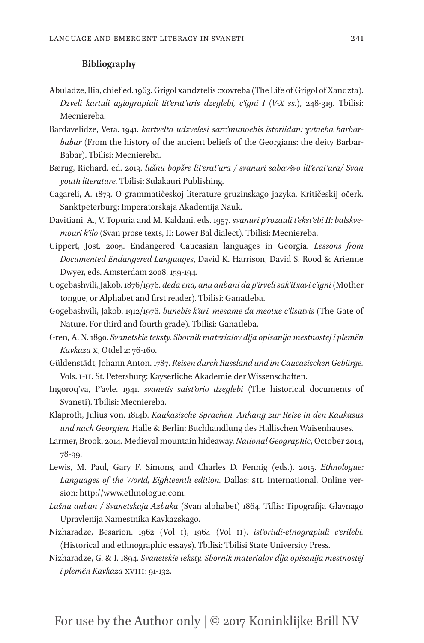#### **Bibliography**

- Abuladze, Ilia, chief ed. 1963. Grigol xandztelis cxovreba (The Life of Grigol of Xandzta). *Dzveli kartuli agiograpiuli lit'erat'uris dzeglebi, c'igni I (V-X ss.)*, 248-319. Tbilisi: Mecniereba.
- Bardavelidze, Vera. 1941. *kartvelta udzvelesi sarc'munoebis istoriidan: ɣvtaeba barbarbabar* (From the history of the ancient beliefs of the Georgians: the deity Barbar-Babar). Tbilisi: Mecniereba.
- Bærug, Richard, ed. 2013. *lušnu bopšre lit'erat'ura / svanuri sabavšvo lit'erat'ura/ Svan youth literature.* Tbilisi: Sulakauri Publishing.
- Cagareli, A. 1873. O grammatičeskoj literature gruzinskago jazyka. Kritičeskij očerk. Sanktpeterburg: Imperatorskaja Akademija Nauk.
- Davitiani, A., V. Topuria and M. Kaldani, eds. 1957. *svanuri p'rozauli t'ekst'ebi II: balskvemouri k'ilo* (Svan prose texts, II: Lower Bal dialect). Tbilisi: Mecniereba.
- Gippert, Jost. 2005. Endangered Caucasian languages in Georgia. *Lessons from Documented Endangered Languages*, David K. Harrison, David S. Rood & Arienne Dwyer, eds. Amsterdam 2008, 159-194.
- Gogebashvili, Jakob. 1876/1976. *deda ena, anu anbani da p'irveli sak'itxavi c'igni* (Mother tongue, or Alphabet and first reader). Tbilisi: Ganatleba.
- Gogebashvili, Jakob. 1912/1976. *bunebis k'ari. mesame da meotxe c'lisatvis* (The Gate of Nature. For third and fourth grade). Tbilisi: Ganatleba.
- Gren, A. N. 1890. *Svanetskie teksty. Sbornik materialov dlja opisanija mestnostej i plemën Kavkaza* X, Otdel 2: 76-160.
- Güldenstädt, Johann Anton. 1787. *Reisen durch Russland und im Caucasischen Gebürge.* Vols. I-II. St. Petersburg: Kayserliche Akademie der Wissenschaften.
- Ingoroq'va, P'avle. 1941. *svanetis saist'orio dzeglebi* (The historical documents of Svaneti). Tbilisi: Mecniereba.
- Klaproth, Julius von. 1814b. *Kaukasische Sprachen. Anhang zur Reise in den Kaukasus und nach Georgien.* Halle & Berlin: Buchhandlung des Hallischen Waisenhauses.
- Larmer, Brook. 2014. Medieval mountain hideaway. *National Geographic*, October 2014, 78-99.
- Lewis, M. Paul, Gary F. Simons, and Charles D. Fennig (eds.). 2015. *Ethnologue: Languages of the World, Eighteenth edition.* Dallas: SIL International. Online version: http://www.ethnologue.com.
- Lušnu anban / Svanetskaja Azbuka (Svan alphabet) 1864. Tiflis: Tipografija Glavnago Upravlenija Namestnika Kavkazskago.
- Nizharadze, Besarion. 1962 (Vol I), 1964 (Vol II). *ist'oriuli-etnograpiuli c'erilebi.* (Historical and ethnographic essays). Tbilisi: Tbilisi State University Press.
- Nizharadze, G. & I. 1894. *Svanetskie teksty. Sbornik materialov dlja opisanija mestnostej i plemën Kavkaza* XVIII: 91-132.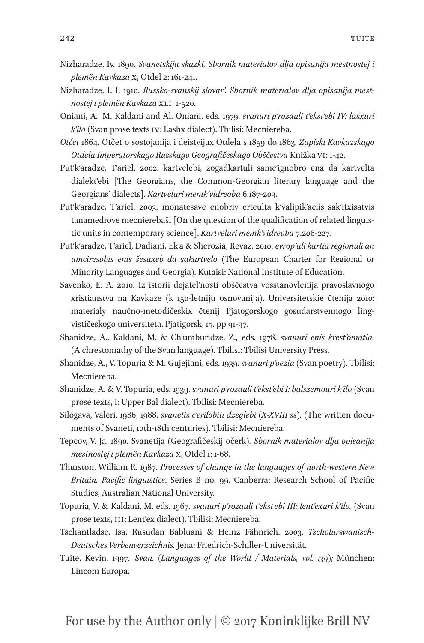- Nizharadze, Iv. 1890. *Svanetskija skazki. Sbornik materialov dlja opisanija mestnostej i plemën Kavkaza* X, Otdel 2: 161-241.
- Nizharadze, I. I. 1910. *Russko-svanskij slovar'. Sbornik materialov dlja opisanija mestnostej i plemën Kavkaza* XLI: 1-520.
- Oniani, A., M. Kaldani and Al. Oniani, eds. 1979. *svanuri p'rozauli t'ekst'ebi IV: lašxuri k'ilo* (Svan prose texts IV: Lashx dialect). Tbilisi: Mecniereba.
- *Otčet* 1864. Otčet o sostojanija i deistvijax Otdela s 1859 do 1863. *Zapiski Kavkazskago Otdela Imperatorskago Russkago Geografijičeskago Obščestva* Knižka VI: 1-42.
- Put'k'aradze, T'ariel. 2002. kartvelebi, zogadkartuli samc'ignobro ena da kartvelta dialekt'ebi [The Georgians, the Common-Georgian literary language and the Georgians' dialects]. *Kartveluri memk'vidreoba* 6.187-203.
- Put'k'aradze, T'ariel. 2003. monatesave enobriv erteulta k'valipik'aciis sak'itxisatvis tanamedrove mecnierebaši [On the question of the qualification of related linguistic units in contemporary science]. *Kartveluri memk'vidreoba* 7.206-227.
- Put'k'aradze, T'ariel, Dadiani, Ek'a & Sherozia, Revaz. 2010. *evrop'uli kartia regionuli an umciresobis enis šesaxeb da sakartvelo* (The European Charter for Regional or Minority Languages and Georgia). Kutaisi: National Institute of Education.
- Savenko, E. A. 2010. Iz istorii dejatel'nosti obščestva vosstanovlenija pravoslavnogo xristianstva na Kavkaze (k 150-letniju osnovanija). Universitetskie čtenija 2010: materialy naučno-metodičeskix čtenij Pjatogorskogo gosudarstvennogo lingvističeskogo universiteta. Pjatigorsk, 15. pp 91-97.
- Shanidze, A., Kaldani, M. & Ch'umburidze, Z., eds. 1978. *svanuri enis krest'omatia.* (A chrestomathy of the Svan language). Tbilisi: Tbilisi University Press.
- Shanidze, A., V. Topuria & M. Gujejiani, eds. 1939. *svanuri p'oezia* (Svan poetry). Tbilisi: Mecniereba.
- Shanidze, A. & V. Topuria, eds. 1939. *svanuri p'rozauli t'ekst'ebi I: balszemouri k'ilo* (Svan prose texts, I: Upper Bal dialect). Tbilisi: Mecniereba.
- Silogava, Valeri. 1986, 1988. *svanetis c'erilobiti dzeglebi (X-XVIII ss).* (The written documents of Svaneti, 10th-18th centuries). Tbilisi: Mecniereba.
- Tepcov, V. Ja. 1890. Svanetija (Geografičeskij očerk). *Sbornik materialov dlja opisanija mestnostej i plemën Kavkaza* X, Otdel 1: 1-68.
- Thurston, William R. 1987. *Processes of change in the languages of north-western New Britain. Pacific linguistics*. Series B no. 99. Canberra: Research School of Pacific Studies, Australian National University.
- Topuria, V. & Kaldani, M. eds. 1967. *svanuri p'rozauli t'ekst'ebi III: lent'exuri k'ilo.* (Svan prose texts, III: Lent'ex dialect). Tbilisi: Mecniereba.
- Tschantladse, Isa, Rusudan Babluani & Heinz Fähnrich. 2003. *Tscholurswanisch-Deutsches Verbenverzeichnis.* Jena: Friedrich-Schiller-Universität.
- Tuite, Kevin. 1997. *Svan. (Languages of the World / Materials, vol. 139);* München: Lincom Europa.